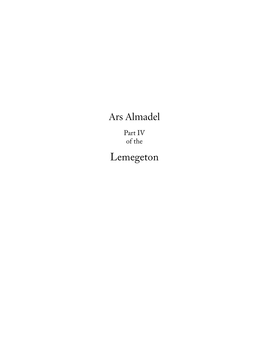Ars Almadel

Part IV of the

Lemegeton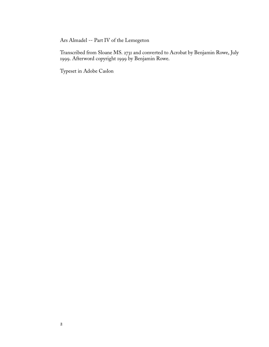Ars Almadel -- Part IV of the Lemegeton

Transcribed from Sloane MS. 2731 and converted to Acrobat by Benjamin Rowe, July 1999. Afterword copyright 1999 by Benjamin Rowe.

Typeset in Adobe Caslon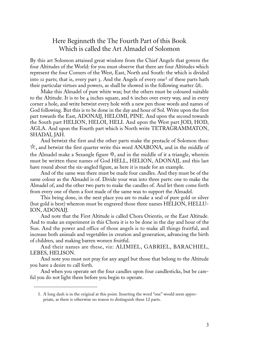# Here Beginneth the The Fourth Part of this Book Which is called the Art Almadel of Solomon

By this art Solomon attained great wisdom from the Chief Angels that govern the four Altitudes of the World: for you must observe that there are four Altitudes which represent the four Corners of the West, East, North and South: the which is divided into 12 parts; that is, every part 3. And the Angels of every one<sup>1</sup> of these parts hath their particular virtues and powers, as shall be showed in the following matter *&*c.

Make this Almadel of pure white wax; but the others must be coloured suitable to the Altitude. It is to be 4 inches square, and 6 inches over every way, and in every corner a hole, and write betwixt every hole with a new pen those words and names of God following. But this is to be done in the day and hour of Sol. Write upon the first part towards the East, ADONAIJ, HELOMI, PINE. And upon the second towards the South part HELION, HELOI, HELI. And upon the West part JOD, HOD, AGLA. And upon the Fourth part which is North write TETRAGRAMMATON, SHADAI, JAH.

And betwixt the first and the other parts make the pentacle of Solomon thus:  $\mathcal{R}$ , and betwixt the first quarter write this word ANABONA, and in the middle of the Almadel make a Sexangle figure  $\hat{\varphi}$ , and in the middle of it a triangle, wherein must be written these names of God HELL, HELION, ADONAIJ, and this last have round about the six-angled figure, as here it is made for an example.

And of the same wax there must be made four candles. And they must be of the same colour as the Almadel is of. Divide your wax into three parts: one to make the Almadel of, and the other two parts to make the candles of. And let there come forth from every one of them a foot made of the same wax to support the Almadel.

This being done, in the next place you are to make a seal of pure gold or silver (but gold is best) whereon must be engraved those three names HELION, HELLU-ION, ADONAIJ.

And note that the First Altitude is called Chora Orientis, or the East Altitude. And to make an experiment in this Chora it is to be done in the day and hour of the Sun. And the power and office of those angels is to make all things fruitful, and increase both animals and vegetables in creation and generation, advancing the birth of children, and making barren women fruitful.

And their names are these, viz: ALIMIEL, GABRIEL, BARACHIEL, LEBES, HELISON.

And note you must not pray for any angel but those that belong to the Altitude you have a desire to call forth.

And when you operate set the four candles upon four candlesticks, but be careful you do not light them before you begin to operate.

<sup>1.</sup> A long dash is in the original at this point. Inserting the word "one" would seem appropriate, as there is otherwise no reason to distinguish these 12 parts.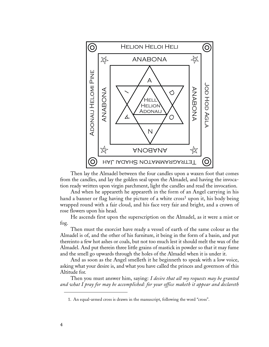

Then lay the Almadel between the four candles upon a waxen foot that comes from the candles, and lay the golden seal upon the Almadel, and having the invocation ready written upon virgin parchment, light the candles and read the invocation.

And when he appeareth he appeareth in the form of an Angel carrying in his hand a banner or flag having the picture of a white cross<sup>1</sup> upon it, his body being wrapped round with a fair cloud, and his face very fair and bright, and a crown of rose flowers upon his head.

He ascends first upon the superscription on the Almadel, as it were a mist or fog.

Then must the exorcist have ready a vessel of earth of the same colour as the Almadel is of, and the other of his furniture, it being in the form of a basin, and put thereinto a few hot ashes or coals, but not too much lest it should melt the wax of the Almadel. And put therein three little grains of mastick in powder so that it may fume and the smell go upwards through the holes of the Almadel when it is under it.

And as soon as the Angel smelleth it he beginneth to speak with a low voice, asking what your desire is, and what you have called the princes and governors of this Altitude for.

Then you must answer him, saying: *I desire that all my requests may be granted and what I pray for may be accomplished: for your office maketh it appear and declareth*

<sup>1.</sup> An equal-armed cross is drawn in the manuscript, following the word "cross".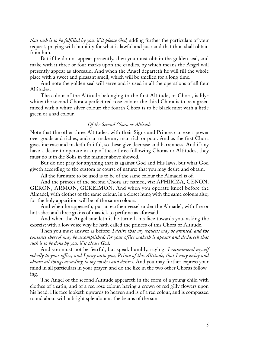*that such is to be fulfilled by you, if it please God,* adding further the particulars of your request, praying with humility for what is lawful and just: and that thou shall obtain from him.

But if he do not appear presently, then you must obtain the golden seal, and make with it three or four marks upon the candles, by which means the Angel will presently appear as aforesaid. And when the Angel departeth he will fill the whole place with a sweet and pleasant smell, which will be smelled for a long time.

And note the golden seal will serve and is used in all the operations of all four Altitudes.

The colour of the Altitude belonging to the first Altitude, or Chora, is lilywhite; the second Chora a perfect red rose colour; the third Chora is to be a green mixed with a white silver colour; the fourth Chora is to be black mixt with a little green or a sad colour.

### *Of the Second Chora or Altitude*

Note that the other three Altitudes, with their Signs and Princes can exert power over goods and riches, and can make any man rich or poor. And as the first Chora gives increase and maketh fruitful, so these give decrease and barrenness. And if any have a desire to operate in any of these three following Choras or Altitudes, they must do it in die Solis in the manner above showed.

But do not pray for anything that is against God and His laws, but what God giveth according to the custom or course of nature: that you may desire and obtain.

All the furniture to be used is to be of the same colour the Almadel is of.

And the princes of the second Chora are named, viz: APHIRIZA, GENON, GERON, ARMON, GEREIMON. And when you operate kneel before the Almadel, with clothes of the same colour, in a closet hung with the same colours also; for the holy apparition will be of the same colours.

And when he appeareth, put an earthen vessel under the Almadel, with fire or hot ashes and three grains of mastick to perfume as aforesaid.

And when the Angel smelleth it he turneth his face towards you, asking the exorcist with a low voice why he hath called the princes of this Chora or Altitude.

Then you must answer as before: *I desire that my requests may be granted, and the contents thereof may be accomplished: for your office maketh it appear and declareth that such is to be done by you, if it please God*.

And you must not be fearful, but speak humbly, saying: *I recommend myself wholly to your office, and I pray unto you, Prince of this Altitude, that I may enjoy and obtain all things according to my wishes and desires*. And you may further express your mind in all particulars in your prayer, and do the like in the two other Choras following.

The Angel of the second Altitude appeareth in the form of a young child with clothes of a satin, and of a red rose colour, having a crown of red gilly flowers upon his head. His face looketh upwards to heaven and is of a red colour, and is compassed round about with a bright splendour as the beams of the sun.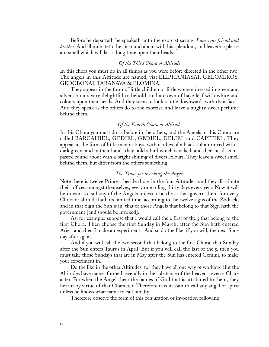Before he departeth he speaketh unto the exorcist saying, *I am your friend and brother*. And illuminateth the air round about with his splendour, and leaveth a pleasant smell which will last a long time upon their heads.

#### *Of the Third Chora or Altitude*

In this chora you must do in all things as you were before directed in the other two. The angels in this Altitude are named, viz: ELIPHANIASAI, GELOMIROS, GEDOBONAI, TARANAVA & ELOMINA.

They appear in the form of little children or little women dressed in green and silver colours very delightful to behold, and a crown of baye leaf with white and colours upon their heads. And they seem to look a little downwards with their faces. And they speak as the others do to the exorcist, and leave a mighty sweet perfume behind them.

#### *Of the Fourth Chora or Altitude*

In this Chora you must do as before in the others, and the Angels in this Chora are called BARCAHIEL, GEDIEL, GEDIEL, DELIEL and CAPITIEL. They appear in the form of little men or boys, with clothes of a black colour mixed with a dark green; and in their hands they hold a bird which is naked; and their heads compassed round about with a bright shining of divers colours. They leave a sweet smell behind them, but differ from the others something.

#### *The Times for invoking the Angels*

Note there is twelve Princes, beside those in the four Altitudes: and they distribute their offices amongst themselves, every one ruling thirty days every year. Now it will be in vain to call any of the Angels unless it be those that govern then, for every Chora or altitude hath its limited time, according to the twelve signs of the Zodiack; and in that Sign the Sun is in, that or those Angels that belong to that Sign hath the government [and should be invoked].

As, for example: suppose that I would call the 2 first of the  $\zeta$  that belong to the first Chora. Then choose the first Sunday in March, after the Sun hath entered Aries: and then I make an experiment. And so do the like, if you will, the next Sunday after again.

And if you will call the two second that belong to the first Chora, that Sunday after the Sun enters Taurus in April. But if you will call the last of the 5, then you must take those Sundays that are in May after the Sun has entered Gemini, to make your experiment in.

Do the like in the other Altitudes, for they have all one way of working. But the Altitudes have names formed severally in the substance of the heavens, even a Character. For when the Angels hear the names of God that is attributed to them, they hear it by virtue of that Character. Therefore it is in vain to call any angel or spirit unless he knows what name to call him by.

Therefore observe the form of this conjuration or invocation following: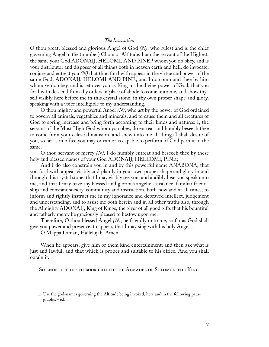## *The Invocation*

O thou great, blessed and glorious Angel of God *(N)*, who rulest and is the chief governing Angel in the (number) Chora or Altitude. I am the servant of the Highest, the same your God ADONAIJ, HELOMI, AND PINE,<sup>1</sup> whom you do obey, and is your distributor and disposer of all things both in heaven earth and hell, do invocate, conjure and entreat you  $\langle N \rangle$  that thou forthwith appear in the virtue and power of the same God, ADONAIJ, HELOMI AND PINE; and I do command thee by him whom ye do obey, and is set over you as King in the divine power of God, that you forthwith descend from thy orders or place of abode to come unto me, and show thyself visibly here before me in this crystal stone, in thy own proper shape and glory, speaking with a voice intelligible to my understanding.

O thou mighty and powerful Angel *(N)*, who art by the power of God ordained to govern all animals, vegetables and minerals, and to cause them and all creatures of God to spring increase and bring forth according to their kinds and natures: I, the servant of the Most High God whom you obey, do entreat and humbly beseech thee to come from your celestial mansion, and shew unto me all things I shall desire of you, so far as in office you may or can or is capable to perform, if God permit to the same.

O thou servant of mercy *(N)*, I do humbly entreat and beseech thee by these holy and blessed names of your God ADONAIJ, HELLOMI, PINE;

And I do also constrain you in and by this powerful name ANABONA, that you forthwith appear visibly and plainly in your own proper shape and glory in and through this crystal stone, that I may visibly see you, and audibly hear you speak unto me, and that I may have thy blessed and glorious angelic assistance, familiar friendship and constant society, community and instruction, both now and at all times, to inform and rightly instruct me in my ignorance and depraved intellect, judgement and understanding, and to assist me both herein and in all other truths also, through the Almighty ADONAIJ, King of Kings, the giver of all good gifts that his bountiful and fatherly mercy be graciously pleased to bestow upon me.

Therefore, O thou blessed Angel *(N)*, be friendly unto me, so far as God shall give you power and presence, to appear, that I may sing with his holy Angels.

O Mappa Laman, Hallelujah. Amen.

When he appears, give him or them kind entertainment; and then ask what is just and lawful, and that which is proper and suitable to his office. And you shall obtain it.

So endeth the 4th book called the Almadel of Solomon the King.

<sup>1.</sup> Use the god-names governing the Altitude being invoked, here and in the following paragraphs. - ed.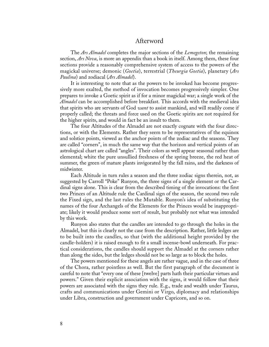## Afterword

The *Ars Almadel* completes the major sections of the *Lemegeton*; the remaining section, *Ars Nova*, is more an appendix than a book in itself. Among them, these four sections provide a reasonably comprehensive system of access to the powers of the magickal universe; demonic (*Goetia*), terrestrial (*Theurgia Goetia*), planetary (*Ars Paulina*) and zodiacal (*Ars Almadel*).

It is interesting to note that as the powers to be invoked has become progressively more exalted, the method of invocation becomes progressively simpler. One prepares to invoke a Goetic spirit as if for a minor magickal war; a single work of the *Almadel* can be accomplished before breakfast. This accords with the medieval idea that spirits who are servants of God *want* to assist mankind, and will readily come if properly called; the threats and force used on the Goetic spirits are not required for the higher spirits, and would in fact be an insult to them.

The four Altitudes of the Almadel are not exactly cognate with the four directions, or with the Elements. Rather they seem to be representatives of the equinox and solstice points, viewed as the anchor points of the zodiac and the seasons. They are called "corners", in much the same way that the horizon and vertical points of an astrological chart are called "angles". Their colors as well appear seasonal rather than elemental; white the pure unsullied freshness of the spring breeze, the red heat of summer, the green of mature plants invigorated by the fall rains, and the darkness of midwinter.

Each Altitude in turn rules a season and the three zodiac signs therein, not, as suggested by Carroll "Poke" Runyon, the three signs of a single element or the Cardinal signs alone. This is clear from the described timing of the invocations: the first two Princes of an Altitude rule the Cardinal sign of the season, the second two rule the Fixed sign, and the last rules the Mutable. Runyon's idea of substituting the names of the four Archangels of the Elements for the Princes would be inappropriate; likely it would produce some sort of result, but probably not what was intended by this work.

Runyon also states that the candles are intended to go through the holes in the Almadel, but this is clearly not the case from the description. Rather, little ledges are to be built into the candles, so that (with the additional height provided by the candle-holders) it is raised enough to fit a small incense-bowl underneath. For practical considerations, the candles should support the Almadel at the corners rather than along the sides, but the ledges should not be so large as to block the holes.

The powers mentioned for these angels are rather vague, and in the case of three of the Chora, rather pointless as well. But the first paragraph of the document is careful to note that "every one of these [twelve] parts hath their particular virtues and powers." Given their explicit association with the signs, it would follow that their powers are associated with the signs they rule. E.g., trade and wealth under Taurus, crafts and communications under Gemini or Virgo, diplomacy and relationships under Libra, construction and government under Capricorn, and so on.